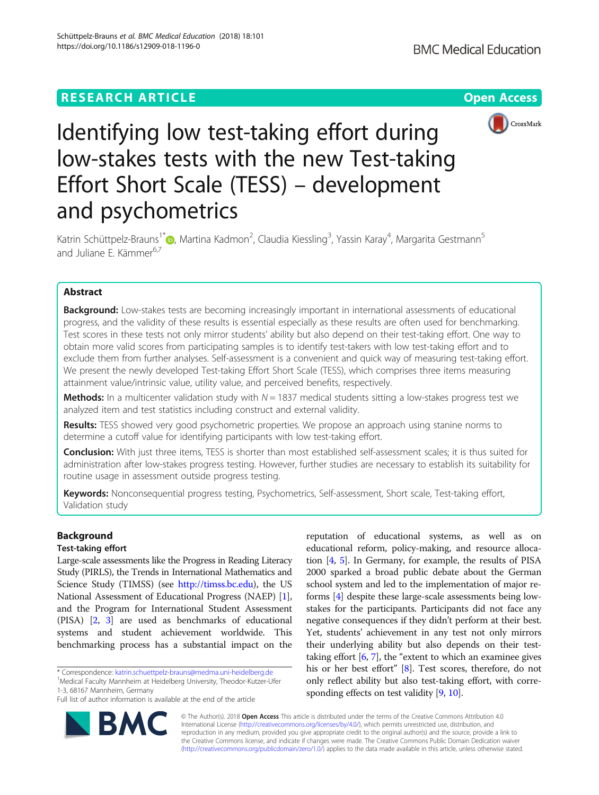

# Identifying low test-taking effort during low-stakes tests with the new Test-taking Effort Short Scale (TESS) – development and psychometrics

Katrin Schüttpelz-Brauns<sup>1\*</sup>®[,](http://orcid.org/0000-0001-9004-0724) Martina Kadmon<sup>2</sup>, Claudia Kiessling<sup>3</sup>, Yassin Karay<sup>4</sup>, Margarita Gestmann<sup>5</sup> and Juliane E. Kämmer<sup>6,7</sup>

# Abstract

**Background:** Low-stakes tests are becoming increasingly important in international assessments of educational progress, and the validity of these results is essential especially as these results are often used for benchmarking. Test scores in these tests not only mirror students' ability but also depend on their test-taking effort. One way to obtain more valid scores from participating samples is to identify test-takers with low test-taking effort and to exclude them from further analyses. Self-assessment is a convenient and quick way of measuring test-taking effort. We present the newly developed Test-taking Effort Short Scale (TESS), which comprises three items measuring attainment value/intrinsic value, utility value, and perceived benefits, respectively.

**Methods:** In a multicenter validation study with  $N = 1837$  medical students sitting a low-stakes progress test we analyzed item and test statistics including construct and external validity.

Results: TESS showed very good psychometric properties. We propose an approach using stanine norms to determine a cutoff value for identifying participants with low test-taking effort.

Conclusion: With just three items, TESS is shorter than most established self-assessment scales; it is thus suited for administration after low-stakes progress testing. However, further studies are necessary to establish its suitability for routine usage in assessment outside progress testing.

Keywords: Nonconsequential progress testing, Psychometrics, Self-assessment, Short scale, Test-taking effort, Validation study

# Background

# Test-taking effort

Large-scale assessments like the Progress in Reading Literacy Study (PIRLS), the Trends in International Mathematics and Science Study (TIMSS) (see [http://timss.bc.edu\)](http://timss.bc.edu), the US National Assessment of Educational Progress (NAEP) [[1](#page-8-0)], and the Program for International Student Assessment (PISA) [\[2](#page-8-0), [3](#page-8-0)] are used as benchmarks of educational systems and student achievement worldwide. This benchmarking process has a substantial impact on the

\* Correspondence: [katrin.schuettpelz-brauns@medma.uni-heidelberg.de](mailto:katrin.schuettpelz-brauns@medma.uni-heidelberg.de) <sup>1</sup>

<sup>1</sup>Medical Faculty Mannheim at Heidelberg University, Theodor-Kutzer-Ufer 1-3, 68167 Mannheim, Germany

Full list of author information is available at the end of the article

reputation of educational systems, as well as on educational reform, policy-making, and resource allocation [\[4](#page-8-0), [5\]](#page-8-0). In Germany, for example, the results of PISA 2000 sparked a broad public debate about the German school system and led to the implementation of major reforms [\[4\]](#page-8-0) despite these large-scale assessments being lowstakes for the participants. Participants did not face any negative consequences if they didn't perform at their best. Yet, students' achievement in any test not only mirrors their underlying ability but also depends on their testtaking effort [\[6](#page-8-0), [7\]](#page-8-0), the "extent to which an examinee gives his or her best effort" [\[8\]](#page-8-0). Test scores, therefore, do not only reflect ability but also test-taking effort, with corresponding effects on test validity [\[9](#page-8-0), [10](#page-8-0)].



© The Author(s). 2018 Open Access This article is distributed under the terms of the Creative Commons Attribution 4.0 International License [\(http://creativecommons.org/licenses/by/4.0/](http://creativecommons.org/licenses/by/4.0/)), which permits unrestricted use, distribution, and reproduction in any medium, provided you give appropriate credit to the original author(s) and the source, provide a link to the Creative Commons license, and indicate if changes were made. The Creative Commons Public Domain Dedication waiver [\(http://creativecommons.org/publicdomain/zero/1.0/](http://creativecommons.org/publicdomain/zero/1.0/)) applies to the data made available in this article, unless otherwise stated.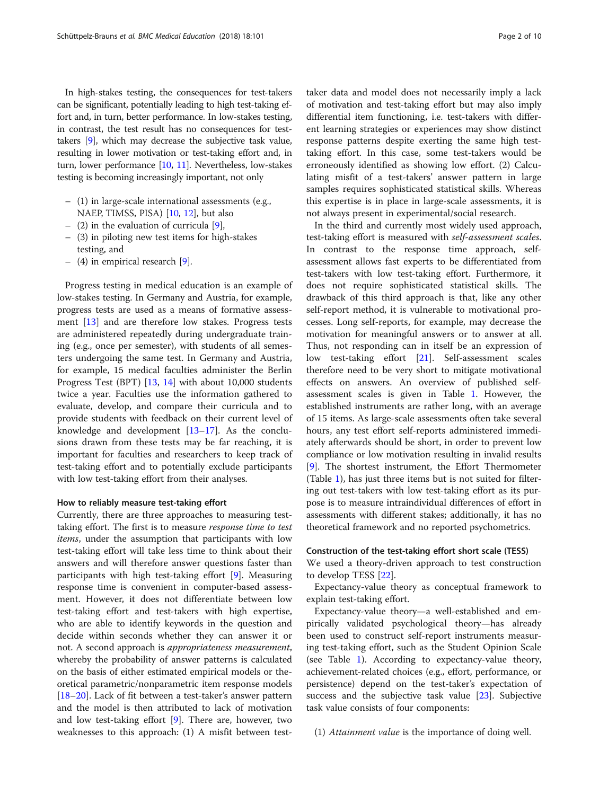In high-stakes testing, the consequences for test-takers can be significant, potentially leading to high test-taking effort and, in turn, better performance. In low-stakes testing, in contrast, the test result has no consequences for testtakers [\[9](#page-8-0)], which may decrease the subjective task value, resulting in lower motivation or test-taking effort and, in turn, lower performance [[10](#page-8-0), [11](#page-8-0)]. Nevertheless, low-stakes testing is becoming increasingly important, not only

- (1) in large-scale international assessments (e.g., NAEP, TIMSS, PISA) [\[10,](#page-8-0) [12](#page-8-0)], but also
- $(2)$  in the evaluation of curricula [[9](#page-8-0)],
- (3) in piloting new test items for high-stakes testing, and
- (4) in empirical research [\[9](#page-8-0)].

Progress testing in medical education is an example of low-stakes testing. In Germany and Austria, for example, progress tests are used as a means of formative assessment [[13\]](#page-8-0) and are therefore low stakes. Progress tests are administered repeatedly during undergraduate training (e.g., once per semester), with students of all semesters undergoing the same test. In Germany and Austria, for example, 15 medical faculties administer the Berlin Progress Test (BPT) [[13](#page-8-0), [14\]](#page-8-0) with about 10,000 students twice a year. Faculties use the information gathered to evaluate, develop, and compare their curricula and to provide students with feedback on their current level of knowledge and development [\[13](#page-8-0)–[17\]](#page-8-0). As the conclusions drawn from these tests may be far reaching, it is important for faculties and researchers to keep track of test-taking effort and to potentially exclude participants with low test-taking effort from their analyses.

#### How to reliably measure test-taking effort

Currently, there are three approaches to measuring testtaking effort. The first is to measure response time to test items, under the assumption that participants with low test-taking effort will take less time to think about their answers and will therefore answer questions faster than participants with high test-taking effort [\[9](#page-8-0)]. Measuring response time is convenient in computer-based assessment. However, it does not differentiate between low test-taking effort and test-takers with high expertise, who are able to identify keywords in the question and decide within seconds whether they can answer it or not. A second approach is appropriateness measurement, whereby the probability of answer patterns is calculated on the basis of either estimated empirical models or theoretical parametric/nonparametric item response models [[18](#page-8-0)–[20](#page-8-0)]. Lack of fit between a test-taker's answer pattern and the model is then attributed to lack of motivation and low test-taking effort  $[9]$  $[9]$  $[9]$ . There are, however, two weaknesses to this approach: (1) A misfit between test-

taker data and model does not necessarily imply a lack of motivation and test-taking effort but may also imply differential item functioning, i.e. test-takers with different learning strategies or experiences may show distinct response patterns despite exerting the same high testtaking effort. In this case, some test-takers would be erroneously identified as showing low effort. (2) Calculating misfit of a test-takers' answer pattern in large samples requires sophisticated statistical skills. Whereas this expertise is in place in large-scale assessments, it is not always present in experimental/social research.

In the third and currently most widely used approach, test-taking effort is measured with self-assessment scales. In contrast to the response time approach, selfassessment allows fast experts to be differentiated from test-takers with low test-taking effort. Furthermore, it does not require sophisticated statistical skills. The drawback of this third approach is that, like any other self-report method, it is vulnerable to motivational processes. Long self-reports, for example, may decrease the motivation for meaningful answers or to answer at all. Thus, not responding can in itself be an expression of low test-taking effort [[21\]](#page-8-0). Self-assessment scales therefore need to be very short to mitigate motivational effects on answers. An overview of published selfassessment scales is given in Table [1](#page-2-0). However, the established instruments are rather long, with an average of 15 items. As large-scale assessments often take several hours, any test effort self-reports administered immediately afterwards should be short, in order to prevent low compliance or low motivation resulting in invalid results [[9\]](#page-8-0). The shortest instrument, the Effort Thermometer (Table [1](#page-2-0)), has just three items but is not suited for filtering out test-takers with low test-taking effort as its purpose is to measure intraindividual differences of effort in assessments with different stakes; additionally, it has no theoretical framework and no reported psychometrics.

#### Construction of the test-taking effort short scale (TESS)

We used a theory-driven approach to test construction to develop TESS [[22\]](#page-8-0).

Expectancy-value theory as conceptual framework to explain test-taking effort.

Expectancy-value theory—a well-established and empirically validated psychological theory—has already been used to construct self-report instruments measuring test-taking effort, such as the Student Opinion Scale (see Table [1](#page-2-0)). According to expectancy-value theory, achievement-related choices (e.g., effort, performance, or persistence) depend on the test-taker's expectation of success and the subjective task value  $[23]$  $[23]$  $[23]$ . Subjective task value consists of four components:

(1) Attainment value is the importance of doing well.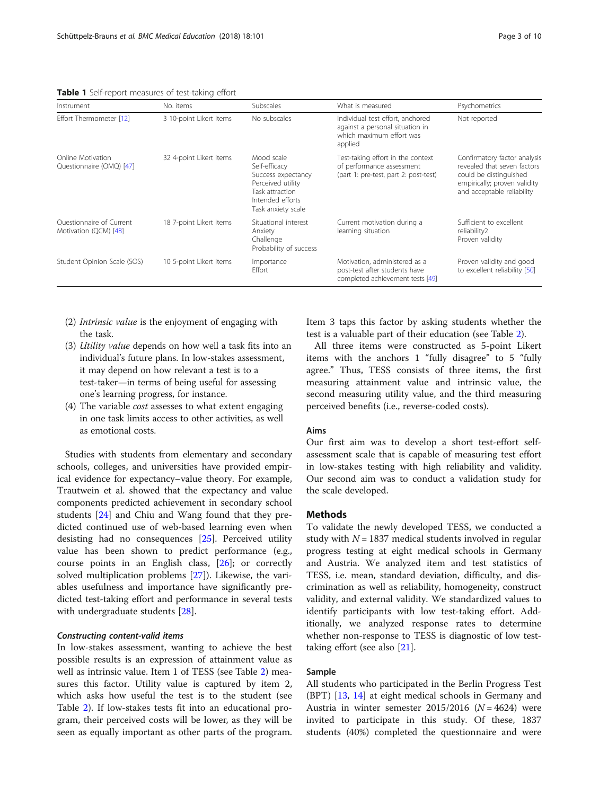<span id="page-2-0"></span>Table 1 Self-report measures of test-taking effort

| Instrument                                        | No. items               | <b>Subscales</b>                                                                                                                    | What is measured                                                                                           | Psychometrics                                                                                                                                       |
|---------------------------------------------------|-------------------------|-------------------------------------------------------------------------------------------------------------------------------------|------------------------------------------------------------------------------------------------------------|-----------------------------------------------------------------------------------------------------------------------------------------------------|
| Effort Thermometer [12]                           | 3 10-point Likert items | No subscales                                                                                                                        | Individual test effort, anchored<br>against a personal situation in<br>which maximum effort was<br>applied | Not reported                                                                                                                                        |
| Online Motivation<br>Questionnaire (OMQ) [47]     | 32 4-point Likert items | Mood scale<br>Self-efficacy<br>Success expectancy<br>Perceived utility<br>Task attraction<br>Intended efforts<br>Task anxiety scale | Test-taking effort in the context<br>of performance assessment<br>(part 1: pre-test, part 2: post-test)    | Confirmatory factor analysis<br>revealed that seven factors<br>could be distinguished<br>empirically; proven validity<br>and acceptable reliability |
| Ouestionnaire of Current<br>Motivation (QCM) [48] | 18 7-point Likert items | Situational interest<br>Anxiety<br>Challenge<br>Probability of success                                                              | Current motivation during a<br>learning situation                                                          | Sufficient to excellent<br>reliability2<br>Proven validity                                                                                          |
| Student Opinion Scale (SOS)                       | 10 5-point Likert items | Importance<br>Effort                                                                                                                | Motivation, administered as a<br>post-test after students have<br>completed achievement tests [49]         | Proven validity and good<br>to excellent reliability [50]                                                                                           |

- (2) Intrinsic value is the enjoyment of engaging with the task.
- (3) Utility value depends on how well a task fits into an individual's future plans. In low-stakes assessment, it may depend on how relevant a test is to a test-taker—in terms of being useful for assessing one's learning progress, for instance.
- (4) The variable cost assesses to what extent engaging in one task limits access to other activities, as well as emotional costs.

Studies with students from elementary and secondary schools, colleges, and universities have provided empirical evidence for expectancy–value theory. For example, Trautwein et al. showed that the expectancy and value components predicted achievement in secondary school students [\[24\]](#page-8-0) and Chiu and Wang found that they predicted continued use of web-based learning even when desisting had no consequences [[25\]](#page-8-0). Perceived utility value has been shown to predict performance (e.g., course points in an English class, [\[26](#page-8-0)]; or correctly solved multiplication problems [\[27\]](#page-9-0)). Likewise, the variables usefulness and importance have significantly predicted test-taking effort and performance in several tests with undergraduate students [\[28](#page-9-0)].

## Constructing content-valid items

In low-stakes assessment, wanting to achieve the best possible results is an expression of attainment value as well as intrinsic value. Item 1 of TESS (see Table [2\)](#page-3-0) measures this factor. Utility value is captured by item 2, which asks how useful the test is to the student (see Table [2\)](#page-3-0). If low-stakes tests fit into an educational program, their perceived costs will be lower, as they will be seen as equally important as other parts of the program. Item 3 taps this factor by asking students whether the test is a valuable part of their education (see Table [2](#page-3-0)).

All three items were constructed as 5-point Likert items with the anchors 1 "fully disagree" to 5 "fully agree." Thus, TESS consists of three items, the first measuring attainment value and intrinsic value, the second measuring utility value, and the third measuring perceived benefits (i.e., reverse-coded costs).

# Aims

Our first aim was to develop a short test-effort selfassessment scale that is capable of measuring test effort in low-stakes testing with high reliability and validity. Our second aim was to conduct a validation study for the scale developed.

# **Methods**

To validate the newly developed TESS, we conducted a study with  $N = 1837$  medical students involved in regular progress testing at eight medical schools in Germany and Austria. We analyzed item and test statistics of TESS, i.e. mean, standard deviation, difficulty, and discrimination as well as reliability, homogeneity, construct validity, and external validity. We standardized values to identify participants with low test-taking effort. Additionally, we analyzed response rates to determine whether non-response to TESS is diagnostic of low testtaking effort (see also [\[21](#page-8-0)].

## Sample

All students who participated in the Berlin Progress Test (BPT) [[13,](#page-8-0) [14](#page-8-0)] at eight medical schools in Germany and Austria in winter semester  $2015/2016$  ( $N = 4624$ ) were invited to participate in this study. Of these, 1837 students (40%) completed the questionnaire and were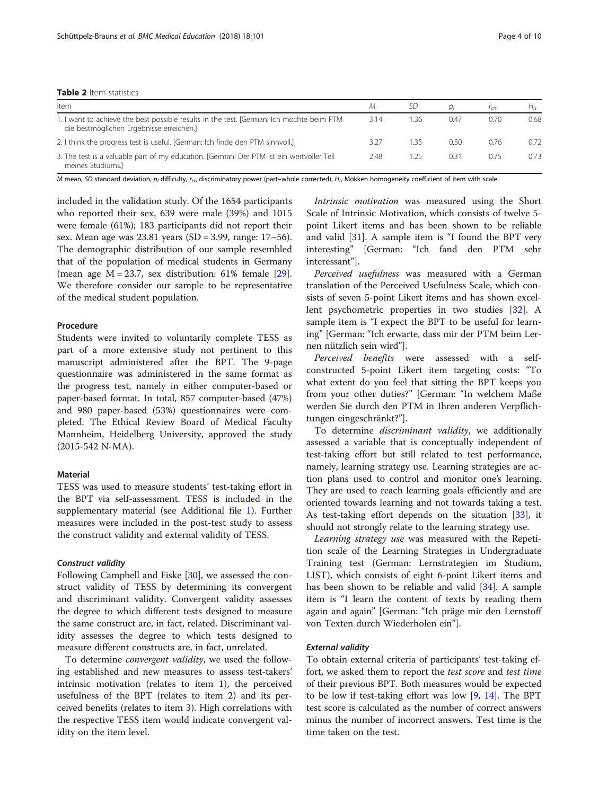<span id="page-3-0"></span>Table 2 Item statistics

| Item                                                                                                                                 | М    | SD   | $D_i$ | $r_{\text{cis}}$ | $H_{iS}$ |
|--------------------------------------------------------------------------------------------------------------------------------------|------|------|-------|------------------|----------|
| 1. I want to achieve the best possible results in the test. [German: Ich möchte beim PTM<br>die bestmöglichen Ergebnisse erreichen.] | 3.14 | L36. | 0.47  | 0.70             | 0.68     |
| 2. I think the progress test is useful. [German: Ich finde den PTM sinnvoll.]                                                        | 327  | 1.35 | 0.50  | 0.76             | 0.72     |
| 3. The test is a valuable part of my education. [German: Der PTM ist ein wertvoller Teil<br>meines Studiums.]                        | 2.48 | l 25 | 0.31  | በ 75             | 073      |

M mean, SD standard deviation,  $p_i$  difficulty,  $r_{cis}$  discriminatory power (part–whole corrected),  $H_{is}$  Mokken homogeneity coefficient of item with scale

included in the validation study. Of the 1654 participants who reported their sex, 639 were male (39%) and 1015 were female (61%); 183 participants did not report their sex. Mean age was 23.81 years (SD = 3.99, range: 17–56). The demographic distribution of our sample resembled that of the population of medical students in Germany (mean age  $M = 23.7$ , sex distribution: 61% female [\[29](#page-9-0)]. We therefore consider our sample to be representative of the medical student population.

## Procedure

Students were invited to voluntarily complete TESS as part of a more extensive study not pertinent to this manuscript administered after the BPT. The 9-page questionnaire was administered in the same format as the progress test, namely in either computer-based or paper-based format. In total, 857 computer-based (47%) and 980 paper-based (53%) questionnaires were completed. The Ethical Review Board of Medical Faculty Mannheim, Heidelberg University, approved the study (2015-542 N-MA).

#### Material

TESS was used to measure students' test-taking effort in the BPT via self-assessment. TESS is included in the supplementary material (see Additional file [1\)](#page-7-0). Further measures were included in the post-test study to assess the construct validity and external validity of TESS.

### Construct validity

Following Campbell and Fiske [[30\]](#page-9-0), we assessed the construct validity of TESS by determining its convergent and discriminant validity. Convergent validity assesses the degree to which different tests designed to measure the same construct are, in fact, related. Discriminant validity assesses the degree to which tests designed to measure different constructs are, in fact, unrelated.

To determine convergent validity, we used the following established and new measures to assess test-takers' intrinsic motivation (relates to item 1), the perceived usefulness of the BPT (relates to item 2) and its perceived benefits (relates to item 3). High correlations with the respective TESS item would indicate convergent validity on the item level.

Intrinsic motivation was measured using the Short Scale of Intrinsic Motivation, which consists of twelve 5 point Likert items and has been shown to be reliable and valid [\[31\]](#page-9-0). A sample item is "I found the BPT very interesting" [German: "Ich fand den PTM sehr interessant"].

Perceived usefulness was measured with a German translation of the Perceived Usefulness Scale, which consists of seven 5-point Likert items and has shown excellent psychometric properties in two studies [[32\]](#page-9-0). A sample item is "I expect the BPT to be useful for learning" [German: "Ich erwarte, dass mir der PTM beim Lernen nützlich sein wird"].

Perceived benefits were assessed with a selfconstructed 5-point Likert item targeting costs: "To what extent do you feel that sitting the BPT keeps you from your other duties?" [German: "In welchem Maße werden Sie durch den PTM in Ihren anderen Verpflichtungen eingeschränkt?"].

To determine discriminant validity, we additionally assessed a variable that is conceptually independent of test-taking effort but still related to test performance, namely, learning strategy use. Learning strategies are action plans used to control and monitor one's learning. They are used to reach learning goals efficiently and are oriented towards learning and not towards taking a test. As test-taking effort depends on the situation [[33](#page-9-0)], it should not strongly relate to the learning strategy use.

Learning strategy use was measured with the Repetition scale of the Learning Strategies in Undergraduate Training test (German: Lernstrategien im Studium, LIST), which consists of eight 6-point Likert items and has been shown to be reliable and valid [\[34\]](#page-9-0). A sample item is "I learn the content of texts by reading them again and again" [German: "Ich präge mir den Lernstoff von Texten durch Wiederholen ein"].

#### External validity

To obtain external criteria of participants' test-taking effort, we asked them to report the *test score* and *test time* of their previous BPT. Both measures would be expected to be low if test-taking effort was low [[9,](#page-8-0) [14](#page-8-0)]. The BPT test score is calculated as the number of correct answers minus the number of incorrect answers. Test time is the time taken on the test.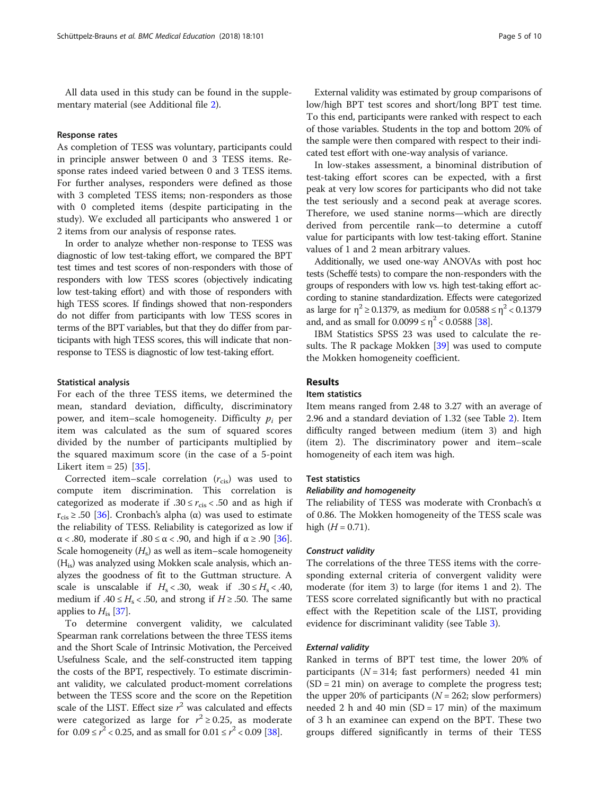All data used in this study can be found in the supplementary material (see Additional file [2\)](#page-7-0).

#### Response rates

As completion of TESS was voluntary, participants could in principle answer between 0 and 3 TESS items. Response rates indeed varied between 0 and 3 TESS items. For further analyses, responders were defined as those with 3 completed TESS items; non-responders as those with 0 completed items (despite participating in the study). We excluded all participants who answered 1 or 2 items from our analysis of response rates.

In order to analyze whether non-response to TESS was diagnostic of low test-taking effort, we compared the BPT test times and test scores of non-responders with those of responders with low TESS scores (objectively indicating low test-taking effort) and with those of responders with high TESS scores. If findings showed that non-responders do not differ from participants with low TESS scores in terms of the BPT variables, but that they do differ from participants with high TESS scores, this will indicate that nonresponse to TESS is diagnostic of low test-taking effort.

#### Statistical analysis

For each of the three TESS items, we determined the mean, standard deviation, difficulty, discriminatory power, and item–scale homogeneity. Difficulty  $p_i$  per item was calculated as the sum of squared scores divided by the number of participants multiplied by the squared maximum score (in the case of a 5-point Likert item = 25) [\[35](#page-9-0)].

Corrected item–scale correlation  $(r_{\text{cis}})$  was used to compute item discrimination. This correlation is categorized as moderate if  $.30 \le r_{\text{cis}} < .50$  and as high if  $r_{\text{cis}} \geq .50$  [\[36](#page-9-0)]. Cronbach's alpha (α) was used to estimate the reliability of TESS. Reliability is categorized as low if  $\alpha$  < .80, moderate if .80  $\leq \alpha$  < .90, and high if  $\alpha \geq .90$  [\[36](#page-9-0)]. Scale homogeneity  $(H_s)$  as well as item–scale homogeneity (H<sub>is</sub>) was analyzed using Mokken scale analysis, which analyzes the goodness of fit to the Guttman structure. A scale is unscalable if  $H_s < .30$ , weak if  $.30 \le H_s < .40$ , medium if  $.40 \leq H_s < .50$ , and strong if  $H \geq .50$ . The same applies to  $H_{\text{is}}$  [\[37\]](#page-9-0).

To determine convergent validity, we calculated Spearman rank correlations between the three TESS items and the Short Scale of Intrinsic Motivation, the Perceived Usefulness Scale, and the self-constructed item tapping the costs of the BPT, respectively. To estimate discriminant validity, we calculated product-moment correlations between the TESS score and the score on the Repetition scale of the LIST. Effect size  $r^2$  was calculated and effects were categorized as large for  $r^2 \ge 0.25$ , as moderate for  $0.09 \le r^2 < 0.25$ , and as small for  $0.01 \le r^2 < 0.09$  [[38\]](#page-9-0).

External validity was estimated by group comparisons of low/high BPT test scores and short/long BPT test time. To this end, participants were ranked with respect to each of those variables. Students in the top and bottom 20% of the sample were then compared with respect to their indicated test effort with one-way analysis of variance.

In low-stakes assessment, a binominal distribution of test-taking effort scores can be expected, with a first peak at very low scores for participants who did not take the test seriously and a second peak at average scores. Therefore, we used stanine norms—which are directly derived from percentile rank—to determine a cutoff value for participants with low test-taking effort. Stanine values of 1 and 2 mean arbitrary values.

Additionally, we used one-way ANOVAs with post hoc tests (Scheffé tests) to compare the non-responders with the groups of responders with low vs. high test-taking effort according to stanine standardization. Effects were categorized as large for  $\eta^2 \ge 0.1379$ , as medium for  $0.0588 \le \eta^2 < 0.1379$ and, and as small for  $0.0099 \le \eta^2 < 0.0588$  [\[38\]](#page-9-0).

IBM Statistics SPSS 23 was used to calculate the results. The R package Mokken [\[39\]](#page-9-0) was used to compute the Mokken homogeneity coefficient.

## Results

#### Item statistics

Item means ranged from 2.48 to 3.27 with an average of 2.96 and a standard deviation of 1.32 (see Table [2\)](#page-3-0). Item difficulty ranged between medium (item 3) and high (item 2). The discriminatory power and item–scale homogeneity of each item was high.

#### Test statistics

## Reliability and homogeneity

The reliability of TESS was moderate with Cronbach's α of 0.86. The Mokken homogeneity of the TESS scale was high  $(H = 0.71)$ .

### Construct validity

The correlations of the three TESS items with the corresponding external criteria of convergent validity were moderate (for item 3) to large (for items 1 and 2). The TESS score correlated significantly but with no practical effect with the Repetition scale of the LIST, providing evidence for discriminant validity (see Table [3](#page-5-0)).

#### External validity

Ranked in terms of BPT test time, the lower 20% of participants ( $N = 314$ ; fast performers) needed 41 min (SD = 21 min) on average to complete the progress test; the upper 20% of participants ( $N = 262$ ; slow performers) needed 2 h and 40 min  $(SD = 17 \text{ min})$  of the maximum of 3 h an examinee can expend on the BPT. These two groups differed significantly in terms of their TESS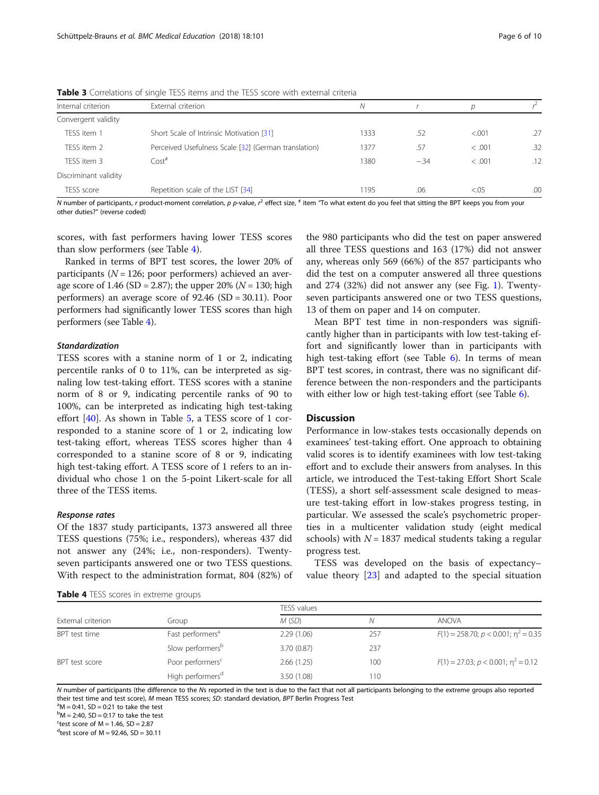| <b>TWATE</b> CONCIDENTS OF SIMPLE RESS REND SING THE RESS SECTED MITCH CATCHING CHECKING |                                                      |      |        |         |     |  |  |
|------------------------------------------------------------------------------------------|------------------------------------------------------|------|--------|---------|-----|--|--|
| Internal criterion                                                                       | External criterion                                   | Ν    |        | D       |     |  |  |
| Convergent validity                                                                      |                                                      |      |        |         |     |  |  |
| TFSS item 1                                                                              | Short Scale of Intrinsic Motivation [31]             | 1333 | .52    | < 0.001 | .27 |  |  |
| TESS item 2                                                                              | Perceived Usefulness Scale [32] (German translation) | 1377 | .57    | < .001  | .32 |  |  |
| TESS item 3                                                                              | $Cost^*$                                             |      | $-.34$ | < .001  | .12 |  |  |
| Discriminant validity                                                                    |                                                      |      |        |         |     |  |  |
| <b>TESS</b> score                                                                        | Repetition scale of the LIST [34]                    | 1195 | .06    | < 0.05  | .00 |  |  |

<span id="page-5-0"></span>**Table 3** Correlations of single TESS items and the TESS score with external criteria

N number of participants, r product-moment correlation, p p-value,  $r^2$  effect size,  $^{\#}$  item "To what extent do you feel that sitting the BPT keeps you from your other duties?" (reverse coded)

scores, with fast performers having lower TESS scores than slow performers (see Table 4).

Ranked in terms of BPT test scores, the lower 20% of participants ( $N = 126$ ; poor performers) achieved an average score of 1.46 (SD = 2.87); the upper 20% ( $N = 130$ ; high performers) an average score of 92.46 (SD = 30.11). Poor performers had significantly lower TESS scores than high performers (see Table 4).

### Standardization

TESS scores with a stanine norm of 1 or 2, indicating percentile ranks of 0 to 11%, can be interpreted as signaling low test-taking effort. TESS scores with a stanine norm of 8 or 9, indicating percentile ranks of 90 to 100%, can be interpreted as indicating high test-taking effort [\[40](#page-9-0)]. As shown in Table [5](#page-6-0), a TESS score of 1 corresponded to a stanine score of 1 or 2, indicating low test-taking effort, whereas TESS scores higher than 4 corresponded to a stanine score of 8 or 9, indicating high test-taking effort. A TESS score of 1 refers to an individual who chose 1 on the 5-point Likert-scale for all three of the TESS items.

# Response rates

Of the 1837 study participants, 1373 answered all three TESS questions (75%; i.e., responders), whereas 437 did not answer any (24%; i.e., non-responders). Twentyseven participants answered one or two TESS questions. With respect to the administration format, 804 (82%) of

| Table 4 TESS scores in extreme groups |  |  |  |  |  |  |
|---------------------------------------|--|--|--|--|--|--|
|---------------------------------------|--|--|--|--|--|--|

the 980 participants who did the test on paper answered all three TESS questions and 163 (17%) did not answer any, whereas only 569 (66%) of the 857 participants who did the test on a computer answered all three questions and 274 (32%) did not answer any (see Fig. [1](#page-6-0)). Twentyseven participants answered one or two TESS questions, 13 of them on paper and 14 on computer.

Mean BPT test time in non-responders was significantly higher than in participants with low test-taking effort and significantly lower than in participants with high test-taking effort (see Table [6\)](#page-7-0). In terms of mean BPT test scores, in contrast, there was no significant difference between the non-responders and the participants with either low or high test-taking effort (see Table [6](#page-7-0)).

## **Discussion**

Performance in low-stakes tests occasionally depends on examinees' test-taking effort. One approach to obtaining valid scores is to identify examinees with low test-taking effort and to exclude their answers from analyses. In this article, we introduced the Test-taking Effort Short Scale (TESS), a short self-assessment scale designed to measure test-taking effort in low-stakes progress testing, in particular. We assessed the scale's psychometric properties in a multicenter validation study (eight medical schools) with  $N = 1837$  medical students taking a regular progress test.

TESS was developed on the basis of expectancy– value theory [[23](#page-8-0)] and adapted to the special situation

|                       |                              | <b>TESS</b> values |     |                                             |  |  |
|-----------------------|------------------------------|--------------------|-----|---------------------------------------------|--|--|
| External criterion    | Group                        | M(SD)              |     | <b>ANOVA</b>                                |  |  |
| BPT test time         | Fast performers <sup>a</sup> | 2.29(1.06)         | 257 | $F(1) = 258.70$ ; $p < 0.001$ ; $p2 = 0.35$ |  |  |
|                       | Slow performers <sup>b</sup> | 3.70 (0.87)        | 237 |                                             |  |  |
| <b>BPT</b> test score | Poor performers <sup>c</sup> | 2.66(1.25)         | 100 | $F(1) = 27.03$ ; $p < 0.001$ ; $p^2 = 0.12$ |  |  |
|                       | High performers <sup>d</sup> | 3.50 (1.08)        | 110 |                                             |  |  |

N number of participants (the difference to the Ns reported in the text is due to the fact that not all participants belonging to the extreme groups also reported their test time and test score), M mean TESS scores; SD: standard deviation, BPT Berlin Progress Test

 ${}^{\text{a}}$ M = 0:41, SD = 0:21 to take the test

 ${}^{\text{b}}$ M = 2:40, SD = 0:17 to take the test

<sup>c</sup>test score of  $M = 1.46$ , SD = 2.87

dtest score of  $M = 92.46$ , SD = 30.11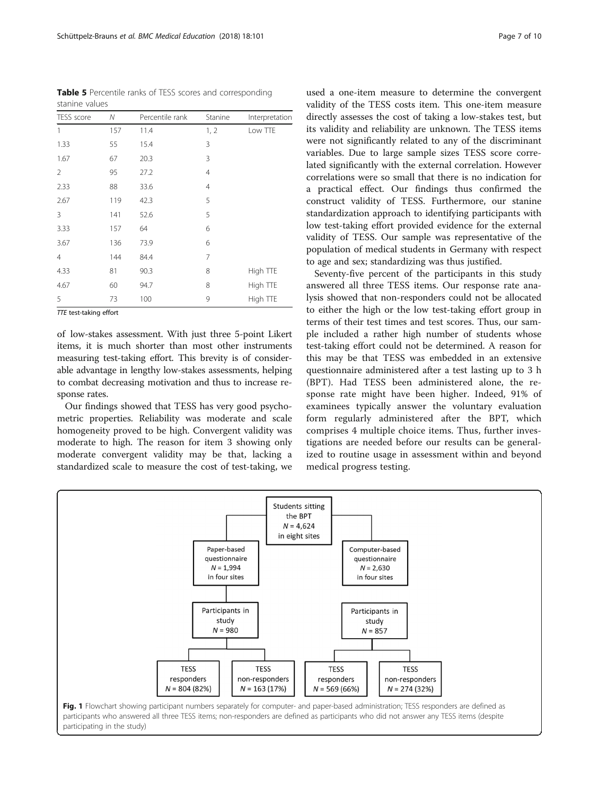<span id="page-6-0"></span>Table 5 Percentile ranks of TESS scores and corresponding stanine values

| TESS score     | N   | Percentile rank | Stanine        | Interpretation |
|----------------|-----|-----------------|----------------|----------------|
| $\mathbf{1}$   | 157 | 11.4            | 1, 2           | Low TTE        |
| 1.33           | 55  | 15.4            | 3              |                |
| 1.67           | 67  | 20.3            | 3              |                |
| 2              | 95  | 27.2            | $\overline{4}$ |                |
| 2.33           | 88  | 33.6            | $\overline{4}$ |                |
| 2.67           | 119 | 42.3            | 5              |                |
| 3              | 141 | 52.6            | 5              |                |
| 3.33           | 157 | 64              | 6              |                |
| 3.67           | 136 | 73.9            | 6              |                |
| $\overline{4}$ | 144 | 84.4            | 7              |                |
| 4.33           | 81  | 90.3            | 8              | High TTE       |
| 4.67           | 60  | 94.7            | 8              | High TTE       |
| 5              | 73  | 100             | 9              | High TTE       |

TTE test-taking effort

of low-stakes assessment. With just three 5-point Likert items, it is much shorter than most other instruments measuring test-taking effort. This brevity is of considerable advantage in lengthy low-stakes assessments, helping to combat decreasing motivation and thus to increase response rates.

Our findings showed that TESS has very good psychometric properties. Reliability was moderate and scale homogeneity proved to be high. Convergent validity was moderate to high. The reason for item 3 showing only moderate convergent validity may be that, lacking a standardized scale to measure the cost of test-taking, we

used a one-item measure to determine the convergent validity of the TESS costs item. This one-item measure directly assesses the cost of taking a low-stakes test, but its validity and reliability are unknown. The TESS items were not significantly related to any of the discriminant variables. Due to large sample sizes TESS score correlated significantly with the external correlation. However correlations were so small that there is no indication for a practical effect. Our findings thus confirmed the construct validity of TESS. Furthermore, our stanine standardization approach to identifying participants with low test-taking effort provided evidence for the external validity of TESS. Our sample was representative of the population of medical students in Germany with respect to age and sex; standardizing was thus justified.

Seventy-five percent of the participants in this study answered all three TESS items. Our response rate analysis showed that non-responders could not be allocated to either the high or the low test-taking effort group in terms of their test times and test scores. Thus, our sample included a rather high number of students whose test-taking effort could not be determined. A reason for this may be that TESS was embedded in an extensive questionnaire administered after a test lasting up to 3 h (BPT). Had TESS been administered alone, the response rate might have been higher. Indeed, 91% of examinees typically answer the voluntary evaluation form regularly administered after the BPT, which comprises 4 multiple choice items. Thus, further investigations are needed before our results can be generalized to routine usage in assessment within and beyond medical progress testing.

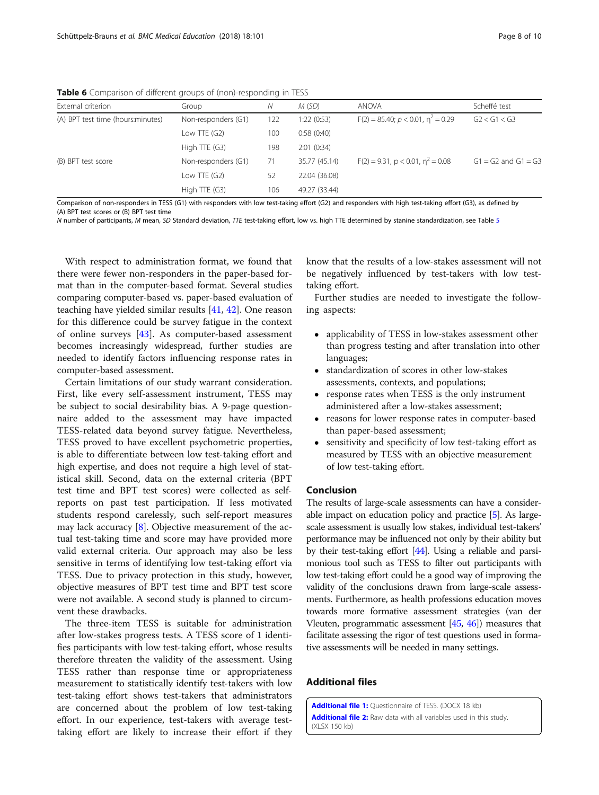| External criterion                | Group               | N   | M (SD)        | <b>ANOVA</b>                               | Scheffé test            |
|-----------------------------------|---------------------|-----|---------------|--------------------------------------------|-------------------------|
| (A) BPT test time (hours:minutes) | Non-responders (G1) | 122 | 1:22(0:53)    | $F(2) = 85.40$ ; $p < 0.01$ , $n^2 = 0.29$ | G2 < G1 < G3            |
|                                   | Low TTE $(G2)$      | 100 | 0:58(0:40)    |                                            |                         |
|                                   | High TTE (G3)       | 198 | 2:01(0:34)    |                                            |                         |
| (B) BPT test score                | Non-responders (G1) | 71  | 35.77 (45.14) | $F(2) = 9.31$ , p < 0.01, $n^2 = 0.08$     | $G1 = G2$ and $G1 = G3$ |
|                                   | Low TTE $(G2)$      | 52  | 22.04 (36.08) |                                            |                         |
|                                   | High TTE (G3)       | 106 | 49.27 (33.44) |                                            |                         |
|                                   |                     |     |               |                                            |                         |

<span id="page-7-0"></span>Table 6 Comparison of different groups of (non)-responding in TESS

Comparison of non-responders in TESS (G1) with responders with low test-taking effort (G2) and responders with high test-taking effort (G3), as defined by (A) BPT test scores or (B) BPT test time

N number of participants, M mean, SD Standard deviation, TTE test-taking effort, low vs. high TTE determined by stanine standardization, see Table [5](#page-6-0)

With respect to administration format, we found that there were fewer non-responders in the paper-based format than in the computer-based format. Several studies comparing computer-based vs. paper-based evaluation of teaching have yielded similar results [\[41](#page-9-0), [42](#page-9-0)]. One reason for this difference could be survey fatigue in the context of online surveys [[43](#page-9-0)]. As computer-based assessment becomes increasingly widespread, further studies are needed to identify factors influencing response rates in computer-based assessment.

Certain limitations of our study warrant consideration. First, like every self-assessment instrument, TESS may be subject to social desirability bias. A 9-page questionnaire added to the assessment may have impacted TESS-related data beyond survey fatigue. Nevertheless, TESS proved to have excellent psychometric properties, is able to differentiate between low test-taking effort and high expertise, and does not require a high level of statistical skill. Second, data on the external criteria (BPT test time and BPT test scores) were collected as selfreports on past test participation. If less motivated students respond carelessly, such self-report measures may lack accuracy [[8\]](#page-8-0). Objective measurement of the actual test-taking time and score may have provided more valid external criteria. Our approach may also be less sensitive in terms of identifying low test-taking effort via TESS. Due to privacy protection in this study, however, objective measures of BPT test time and BPT test score were not available. A second study is planned to circumvent these drawbacks.

The three-item TESS is suitable for administration after low-stakes progress tests. A TESS score of 1 identifies participants with low test-taking effort, whose results therefore threaten the validity of the assessment. Using TESS rather than response time or appropriateness measurement to statistically identify test-takers with low test-taking effort shows test-takers that administrators are concerned about the problem of low test-taking effort. In our experience, test-takers with average testtaking effort are likely to increase their effort if they know that the results of a low-stakes assessment will not be negatively influenced by test-takers with low testtaking effort.

Further studies are needed to investigate the following aspects:

- applicability of TESS in low-stakes assessment other than progress testing and after translation into other languages;
- standardization of scores in other low-stakes assessments, contexts, and populations;
- response rates when TESS is the only instrument administered after a low-stakes assessment;
- reasons for lower response rates in computer-based than paper-based assessment;
- sensitivity and specificity of low test-taking effort as measured by TESS with an objective measurement of low test-taking effort.

## Conclusion

The results of large-scale assessments can have a considerable impact on education policy and practice [[5](#page-8-0)]. As largescale assessment is usually low stakes, individual test-takers' performance may be influenced not only by their ability but by their test-taking effort [[44](#page-9-0)]. Using a reliable and parsimonious tool such as TESS to filter out participants with low test-taking effort could be a good way of improving the validity of the conclusions drawn from large-scale assessments. Furthermore, as health professions education moves towards more formative assessment strategies (van der Vleuten, programmatic assessment  $[45, 46]$  $[45, 46]$  $[45, 46]$ ) measures that facilitate assessing the rigor of test questions used in formative assessments will be needed in many settings.

# Additional files

[Additional file 1:](https://doi.org/10.1186/s12909-018-1196-0) Questionnaire of TESS. (DOCX 18 kb) [Additional file 2:](https://doi.org/10.1186/s12909-018-1196-0) Raw data with all variables used in this study. (XLSX 150 kb)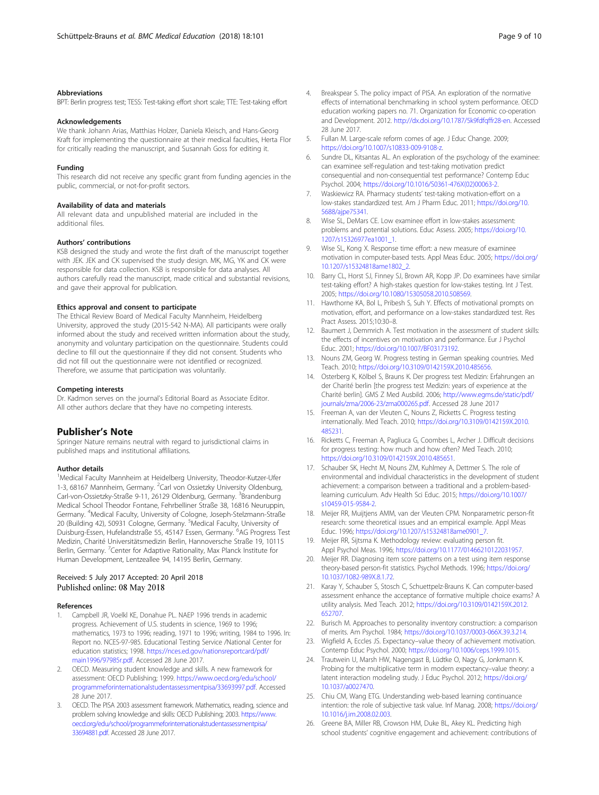#### <span id="page-8-0"></span>Abbreviations

BPT: Berlin progress test; TESS: Test-taking effort short scale; TTE: Test-taking effort

#### Acknowledgements

We thank Johann Arias, Matthias Holzer, Daniela Kleisch, and Hans-Georg Kraft for implementing the questionnaire at their medical faculties, Herta Flor for critically reading the manuscript, and Susannah Goss for editing it.

#### Funding

This research did not receive any specific grant from funding agencies in the public, commercial, or not-for-profit sectors.

#### Availability of data and materials

All relevant data and unpublished material are included in the additional files.

## Authors' contributions

KSB designed the study and wrote the first draft of the manuscript together with JEK. JEK and CK supervised the study design. MK, MG, YK and CK were responsible for data collection. KSB is responsible for data analyses. All authors carefully read the manuscript, made critical and substantial revisions, and gave their approval for publication.

#### Ethics approval and consent to participate

The Ethical Review Board of Medical Faculty Mannheim, Heidelberg University, approved the study (2015-542 N-MA). All participants were orally informed about the study and received written information about the study, anonymity and voluntary participation on the questionnaire. Students could decline to fill out the questionnaire if they did not consent. Students who did not fill out the questionnaire were not identified or recognized. Therefore, we assume that participation was voluntarily.

#### Competing interests

Dr. Kadmon serves on the journal's Editorial Board as Associate Editor. All other authors declare that they have no competing interests.

# Publisher's Note

Springer Nature remains neutral with regard to jurisdictional claims in published maps and institutional affiliations.

#### Author details

<sup>1</sup>Medical Faculty Mannheim at Heidelberg University, Theodor-Kutzer-Ufer 1-3, 68167 Mannheim, Germany. <sup>2</sup>Carl von Ossietzky University Oldenburg, Carl-von-Ossietzky-Straße 9-11, 26129 Oldenburg, Germany. <sup>3</sup>Brandenburg Medical School Theodor Fontane, Fehrbelliner Straße 38, 16816 Neuruppin, Germany. <sup>4</sup>Medical Faculty, University of Cologne, Joseph-Stelzmann-Straße 20 (Building 42), 50931 Cologne, Germany. <sup>5</sup>Medical Faculty, University of Duisburg-Essen, Hufelandstraße 55, 45147 Essen, Germany. <sup>6</sup>AG Progress Test Medizin, Charité Universitätsmedizin Berlin, Hannoversche Straße 19, 10115 Berlin, Germany. <sup>7</sup>Center for Adaptive Rationality, Max Planck Institute for Human Development, Lentzeallee 94, 14195 Berlin, Germany.

## Received: 5 July 2017 Accepted: 20 April 2018 Published online: 08 May 2018

#### References

- 1. Campbell JR, Voelkl KE, Donahue PL. NAEP 1996 trends in academic progress. Achievement of U.S. students in science, 1969 to 1996; mathematics, 1973 to 1996; reading, 1971 to 1996; writing, 1984 to 1996. In: Report no. NCES-97-985. Educational Testing Service /National Center for education statistics; 1998. [https://nces.ed.gov/nationsreportcard/pdf/](https://nces.ed.gov/nationsreportcard/pdf/main1996/97985r.pdf) [main1996/97985r.pdf.](https://nces.ed.gov/nationsreportcard/pdf/main1996/97985r.pdf) Accessed 28 June 2017.
- 2. OECD. Measuring student knowledge and skills. A new framework for assessment: OECD Publishing; 1999. [https://www.oecd.org/edu/school/](https://www.oecd.org/edu/school/programmeforinternationalstudentassessmentpisa/33693997.pdf) [programmeforinternationalstudentassessmentpisa/33693997.pdf](https://www.oecd.org/edu/school/programmeforinternationalstudentassessmentpisa/33693997.pdf). Accessed 28 June 2017.
- OECD. The PISA 2003 assessment framework. Mathematics, reading, science and problem solving knowledge and skills: OECD Publishing; 2003. [https://www.](https://www.oecd.org/edu/school/programmeforinternationalstudentassessmentpisa/33694881.pdf) [oecd.org/edu/school/programmeforinternationalstudentassessmentpisa/](https://www.oecd.org/edu/school/programmeforinternationalstudentassessmentpisa/33694881.pdf) [33694881.pdf](https://www.oecd.org/edu/school/programmeforinternationalstudentassessmentpisa/33694881.pdf). Accessed 28 June 2017.
- 4. Breakspear S. The policy impact of PISA. An exploration of the normative effects of international benchmarking in school system performance. OECD education working papers no. 71. Organization for Economic co-operation and Development. 2012. [http://dx.doi.org/10.1787/5k9fdfqffr28-en.](http://dx.doi.org/10.1787/5k9fdfqffr28-en) Accessed 28 June 2017.
- 5. Fullan M. Large-scale reform comes of age. J Educ Change. 2009; [https://doi.org/10.1007/s10833-009-9108-z.](https://doi.org/10.1007/s10833-009-9108-z)
- 6. Sundre DL, Kitsantas AL. An exploration of the psychology of the examinee: can examinee self-regulation and test-taking motivation predict consequential and non-consequential test performance? Contemp Educ Psychol. 2004; [https://doi.org/10.1016/S0361-476X\(02\)00063-2.](https://doi.org/10.1016/S0361-476X(02)00063-2)
- 7. Waskiewicz RA. Pharmacy students' test-taking motivation-effort on a low-stakes standardized test. Am J Pharm Educ. 2011; [https://doi.org/10.](https://doi.org/10.5688/ajpe75341) [5688/ajpe75341.](https://doi.org/10.5688/ajpe75341)
- 8. Wise SL, DeMars CE. Low examinee effort in low-stakes assessment: problems and potential solutions. Educ Assess. 2005; [https://doi.org/10.](https://doi.org/10.1207/s15326977ea1001_1) [1207/s15326977ea1001\\_1.](https://doi.org/10.1207/s15326977ea1001_1)
- 9. Wise SL, Kong X. Response time effort: a new measure of examinee motivation in computer-based tests. Appl Meas Educ. 2005; [https://doi.org/](https://doi.org/10.1207/s15324818ame1802_2) [10.1207/s15324818ame1802\\_2.](https://doi.org/10.1207/s15324818ame1802_2)
- 10. Barry CL, Horst SJ, Finney SJ, Brown AR, Kopp JP. Do examinees have similar test-taking effort? A high-stakes question for low-stakes testing. Int J Test. 2005; [https://doi.org/10.1080/15305058.2010.508569.](https://doi.org/10.1080/15305058.2010.508569)
- 11. Hawthorne KA, Bol L, Pribesh S, Suh Y. Effects of motivational prompts on motivation, effort, and performance on a low-stakes standardized test. Res Pract Assess. 2015;10:30–8.
- 12. Baumert J, Demmrich A. Test motivation in the assessment of student skills: the effects of incentives on motivation and performance. Eur J Psychol Educ. 2001; <https://doi.org/10.1007/BF03173192>.
- 13. Nouns ZM, Georg W. Progress testing in German speaking countries. Med Teach. 2010; <https://doi.org/10.3109/0142159X.2010.485656>.
- 14. Osterberg K, Kölbel S, Brauns K. Der progress test Medizin: Erfahrungen an der Charité berlin [the progress test Medizin: years of experience at the Charité berlin]. GMS Z Med Ausbild. 2006; [http://www.egms.de/static/pdf/](http://www.egms.de/static/pdf/journals/zma/2006-23/zma000265.pdf) [journals/zma/2006-23/zma000265.pdf.](http://www.egms.de/static/pdf/journals/zma/2006-23/zma000265.pdf) Accessed 28 June 2017
- 15. Freeman A, van der Vleuten C, Nouns Z, Ricketts C. Progress testing internationally. Med Teach. 2010; [https://doi.org/10.3109/0142159X.2010.](https://doi.org/10.3109/0142159X.2010.485231) [485231](https://doi.org/10.3109/0142159X.2010.485231).
- 16. Ricketts C, Freeman A, Pagliuca G, Coombes L, Archer J. Difficult decisions for progress testing: how much and how often? Med Teach. 2010; <https://doi.org/10.3109/0142159X.2010.485651>.
- 17. Schauber SK, Hecht M, Nouns ZM, Kuhlmey A, Dettmer S. The role of environmental and individual characteristics in the development of student achievement: a comparison between a traditional and a problem-basedlearning curriculum. Adv Health Sci Educ. 2015; [https://doi.org/10.1007/](https://doi.org/10.1007/s10459-015-9584-2) [s10459-015-9584-2.](https://doi.org/10.1007/s10459-015-9584-2)
- 18. Meijer RR, Muijtjens AMM, van der Vleuten CPM. Nonparametric person-fit research: some theoretical issues and an empirical example. Appl Meas Educ. 1996; [https://doi.org/10.1207/s15324818ame0901\\_7](https://doi.org/10.1207/s15324818ame0901_7).
- 19. Meijer RR, Sijtsma K. Methodology review: evaluating person fit. Appl Psychol Meas. 1996; <https://doi.org/10.1177/01466210122031957>.
- 20. Meijer RR. Diagnosing item score patterns on a test using item response theory-based person-fit statistics. Psychol Methods. 1996; [https://doi.org/](https://doi.org/10.1037/1082-989X.8.1.72) [10.1037/1082-989X.8.1.72.](https://doi.org/10.1037/1082-989X.8.1.72)
- 21. Karay Y, Schauber S, Stosch C, Schuettpelz-Brauns K. Can computer-based assessment enhance the acceptance of formative multiple choice exams? A utility analysis. Med Teach. 2012; [https://doi.org/10.3109/0142159X.2012.](https://doi.org/10.3109/0142159X.2012.652707) [652707](https://doi.org/10.3109/0142159X.2012.652707).
- 22. Burisch M. Approaches to personality inventory construction: a comparison of merits. Am Psychol. 1984; <https://doi.org/10.1037/0003-066X.39.3.214>.
- 23. Wigfield A, Eccles JS. Expectancy–value theory of achievement motivation. Contemp Educ Psychol. 2000; <https://doi.org/10.1006/ceps.1999.1015>.
- 24. Trautwein U, Marsh HW, Nagengast B, Lüdtke O, Nagy G, Jonkmann K. Probing for the multiplicative term in modern expectancy–value theory: a latent interaction modeling study. J Educ Psychol. 2012; [https://doi.org/](https://doi.org/10.1037/a0027470) [10.1037/a0027470.](https://doi.org/10.1037/a0027470)
- 25. Chiu CM, Wang ETG. Understanding web-based learning continuance intention: the role of subjective task value. Inf Manag. 2008; [https://doi.org/](https://doi.org/10.1016/j.im.2008.02.003) [10.1016/j.im.2008.02.003](https://doi.org/10.1016/j.im.2008.02.003).
- 26. Greene BA, Miller RB, Crowson HM, Duke BL, Akey KL. Predicting high school students' cognitive engagement and achievement: contributions of